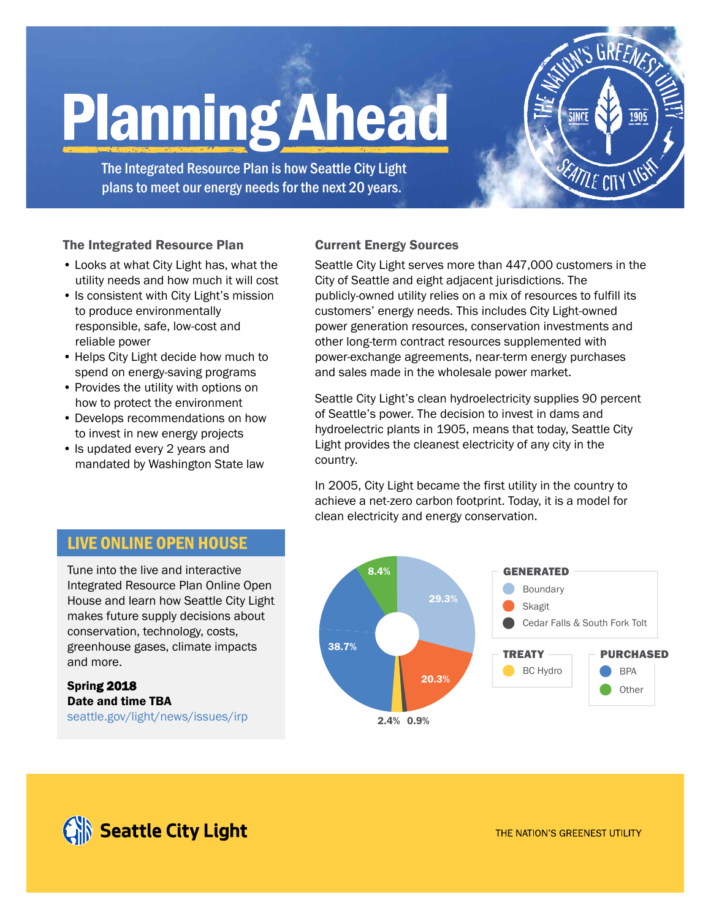# **Planning Ahead**

The Integrated Resource Plan is how Seattle City Light plans to meet our energy needs for the next 20 years.

### The Integrated Resource Plan

- Looks at what City Light has, what the utility needs and how much it will cost
- Is consistent with City Light's mission to produce environmentally responsible, safe, low-cost and reliable power
- Helps City Light decide how much to spend on energy-saving programs
- Provides the utility with options on how to protect the environment
- Develops recommendations on how to invest in new energy projects
- Is updated every 2 years and mandated by Washington State law

### Current Energy Sources

Seattle City Light serves more than 447,000 customers in the City of Seattle and eight adjacent jurisdictions. The publicly-owned utility relies on a mix of resources to fulfill its customers' energy needs. This includes City Light-owned power generation resources, conservation investments and other long-term contract resources supplemented with power-exchange agreements, near-term energy purchases and sales made in the wholesale power market.

SLIRFENES

**ANTE CITY LIF** 

Seattle City Light's clean hydroelectricity supplies 90 percent of Seattle's power. The decision to invest in dams and hydroelectric plants in 1905, means that today, Seattle City Light provides the cleanest electricity of any city in the country.

In 2005, City Light became the first utility in the country to achieve a net-zero carbon footprint. Today, it is a model for clean electricity and energy conservation.



# LIVE ONLINE OPEN HOUSE

Tune into the live and interactive Integrated Resource Plan Online Open House and learn how Seattle City Light makes future supply decisions about conservation, technology, costs, greenhouse gases, climate impacts and more.

Spring 2018 Date and time TBA seattle.gov/light/news/issues/irp